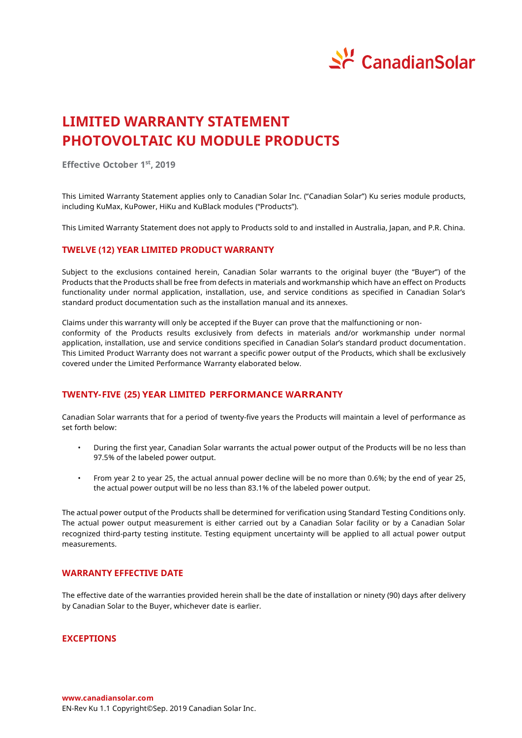

# **LIMITED WARRANTY STATEMENT PHOTOVOLTAIC KU MODULE PRODUCTS**

**Effective October 1 st , 2019**

This Limited Warranty Statement applies only to Canadian Solar Inc. ("Canadian Solar") Ku series module products, including KuMax, KuPower, HiKu and KuBlack modules ("Products").

This Limited Warranty Statement does not apply to Products sold to and installed in Australia, Japan, and P.R. China.

# **TWELVE (12) YEAR LIMITED PRODUCT WARRANTY**

Subject to the exclusions contained herein, Canadian Solar warrants to the original buyer (the "Buyer") of the Products that the Products shall be free from defects in materials and workmanship which have an effect on Products functionality under normal application, installation, use, and service conditions as specified in Canadian Solar's standard product documentation such as the installation manual and its annexes.

Claims under this warranty will only be accepted if the Buyer can prove that the malfunctioning or nonconformity of the Products results exclusively from defects in materials and/or workmanship under normal application, installation, use and service conditions specified in Canadian Solar's standard product documentation. This Limited Product Warranty does not warrant a specific power output of the Products, which shall be exclusively covered under the Limited Performance Warranty elaborated below.

# **TWENTY-FIVE (25) YEAR LIMITED PERFORMANCE WARRANTY**

Canadian Solar warrants that for a period of twenty-five years the Products will maintain a level of performance as set forth below:

- During the first year, Canadian Solar warrants the actual power output of the Products will be no less than 97.5% of the labeled power output.
- From year 2 to year 25, the actual annual power decline will be no more than 0.6%; by the end of year 25, the actual power output will be no less than 83.1% of the labeled power output.

The actual power output of the Products shall be determined for verification using Standard Testing Conditions only. The actual power output measurement is either carried out by a Canadian Solar facility or by a Canadian Solar recognized third-party testing institute. Testing equipment uncertainty will be applied to all actual power output measurements.

# **WARRANTY EFFECTIVE DATE**

The effective date of the warranties provided herein shall be the date of installation or ninety (90) days after delivery by Canadian Solar to the Buyer, whichever date is earlier.

# **EXCEPTIONS**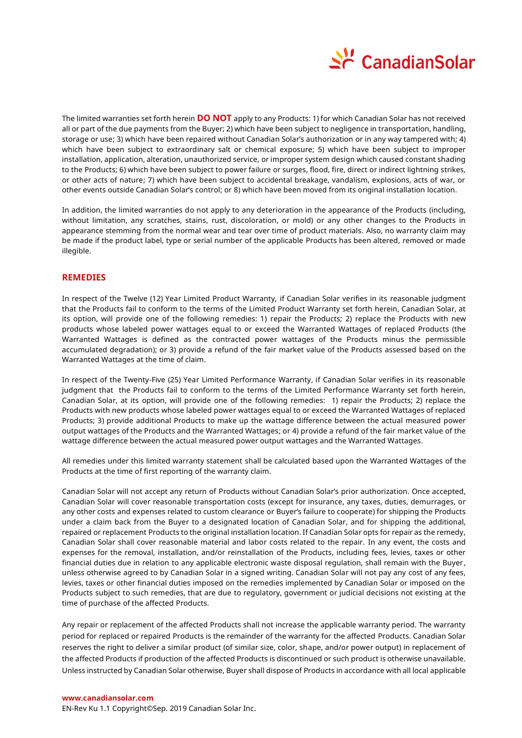

The limited warranties set forth herein **DO NOT** apply to any Products: 1) for which Canadian Solar has not received all or part of the due payments from the Buyer; 2) which have been subject to negligence in transportation, handling, storage or use; 3) which have been repaired without Canadian Solar's authorization or in any way tampered with; 4) which have been subject to extraordinary salt or chemical exposure; 5) which have been subject to improper installation, application, alteration, unauthorized service, or improper system design which caused constant shading to the Products; 6) which have been subject to power failure or surges, flood, fire, direct or indirect lightning strikes, or other acts of nature; 7) which have been subject to accidental breakage, vandalism, explosions, acts of war, or other events outside Canadian Solar's control; or 8) which have been moved from its original installation location.

In addition, the limited warranties do not apply to any deterioration in the appearance of the Products (including, without limitation, any scratches, stains, rust, discoloration, or mold) or any other changes to the Products in appearance stemming from the normal wear and tear over time of product materials. Also, no warranty claim may be made if the product label, type or serial number of the applicable Products has been altered, removed or made illegible.

## **REMEDIES**

In respect of the Twelve (12) Year Limited Product Warranty, if Canadian Solar verifies in its reasonable judgment that the Products fail to conform to the terms of the Limited Product Warranty set forth herein, Canadian Solar, at its option, will provide one of the following remedies: 1) repair the Products; 2) replace the Products with new products whose labeled power wattages equal to or exceed the Warranted Wattages of replaced Products (the Warranted Wattages is defined as the contracted power wattages of the Products minus the permissible accumulated degradation); or 3) provide a refund of the fair market value of the Products assessed based on the Warranted Wattages at the time of claim.

In respect of the Twenty-Five (25) Year Limited Performance Warranty, if Canadian Solar verifies in its reasonable judgment that the Products fail to conform to the terms of the Limited Performance Warranty set forth herein, Canadian Solar, at its option, will provide one of the following remedies: 1) repair the Products; 2) replace the Products with new products whose labeled power wattages equal to or exceed the Warranted Wattages of replaced Products; 3) provide additional Products to make up the wattage difference between the actual measured power output wattages of the Products and the Warranted Wattages; or 4) provide a refund of the fair market value of the wattage difference between the actual measured power output wattages and the Warranted Wattages.

All remedies under this limited warranty statement shall be calculated based upon the Warranted Wattages of the Products at the time of first reporting of the warranty claim.

Canadian Solar will not accept any return of Products without Canadian Solar's prior authorization. Once accepted, Canadian Solar will cover reasonable transportation costs (except for insurance, any taxes, duties, demurrages, or any other costs and expenses related to custom clearance or Buyer's failure to cooperate) for shipping the Products under a claim back from the Buyer to a designated location of Canadian Solar, and for shipping the additional, repaired or replacement Products to the original installation location. If Canadian Solar opts for repair as the remedy, Canadian Solar shall cover reasonable material and labor costs related to the repair. In any event, the costs and expenses for the removal, installation, and/or reinstallation of the Products, including fees, levies, taxes or other financial duties due in relation to any applicable electronic waste disposal regulation, shall remain with the Buyer, unless otherwise agreed to by Canadian Solar in a signed writing. Canadian Solar will not pay any cost of any fees, levies, taxes or other financial duties imposed on the remedies implemented by Canadian Solar or imposed on the Products subject to such remedies, that are due to regulatory, government or judicial decisions not existing at the time of purchase of the affected Products.

Any repair or replacement of the affected Products shall not increase the applicable warranty period. The warranty period for replaced or repaired Products is the remainder of the warranty for the affected Products. Canadian Solar reserves the right to deliver a similar product (of similar size, color, shape, and/or power output) in replacement of the affected Products if production of the affected Products is discontinued or such product is otherwise unavailable. Unless instructed by Canadian Solar otherwise, Buyer shall dispose of Products in accordance with all local applicable

#### **www.canadiansolar.com**

EN-Rev Ku 1.1 Copyright© Sep. 2019 Canadian Solar Inc.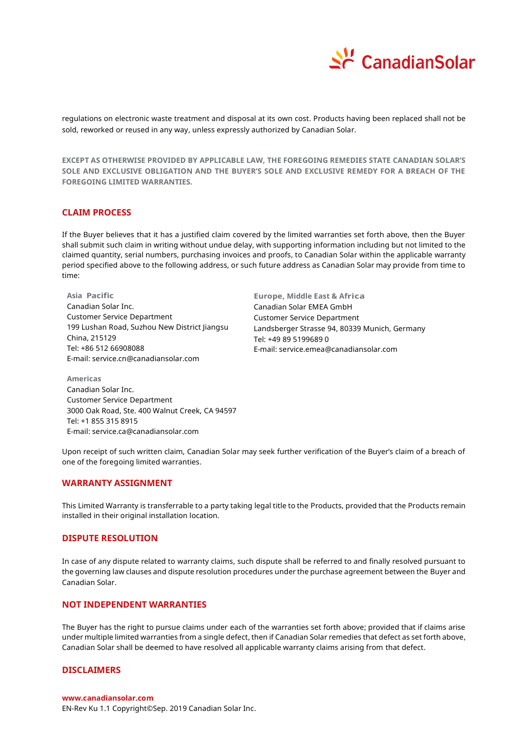

regulations on electronic waste treatment and disposal at its own cost. Products having been replaced shall not be sold, reworked or reused in any way, unless expressly authorized by Canadian Solar.

**EXCEPT AS OTHERWISE PROVIDED BY APPLICABLE LAW, THE FOREGOING REMEDIES STATE CANADIAN SOLAR'S SOLE AND EXCLUSIVE OBLIGATION AND THE BUYER'S SOLE AND EXCLUSIVE REMEDY FOR A BREACH OF THE FOREGOING LIMITED WARRANTIES.**

#### **CLAIM PROCESS**

If the Buyer believes that it has a justified claim covered by the limited warranties set forth above, then the Buyer shall submit such claim in writing without undue delay, with supporting information including but not limited to the claimed quantity, serial numbers, purchasing invoices and proofs, to Canadian Solar within the applicable warranty period specified above to the following address, or such future address as Canadian Solar may provide from time to time:

**Asia Pacific** Canadian Solar Inc. Customer Service Department 199 Lushan Road, Suzhou New District Jiangsu China, 215129 Tel: +86 512 66908088 E-mail: service.cn@canadiansolar.com

**Europe, Middle East & Africa**  Canadian Solar EMEA GmbH Customer Service Department Landsberger Strasse 94, 80339 Munich, Germany Tel: +49 89 5199689 0 E-mail: service.emea@canadiansolar.com

**Americas** Canadian Solar Inc. Customer Service Department 3000 Oak Road, Ste. 400 Walnut Creek, CA 94597 Tel: +1 855 315 8915 E-mail: service.ca@canadiansolar.com

Upon receipt of such written claim, Canadian Solar may seek further verification of the Buyer's claim of a breach of one of the foregoing limited warranties.

#### **WARRANTY ASSIGNMENT**

This Limited Warranty is transferrable to a party taking legal title to the Products, provided that the Products remain installed in their original installation location.

#### **DISPUTE RESOLUTION**

In case of any dispute related to warranty claims, such dispute shall be referred to and finally resolved pursuant to the governing law clauses and dispute resolution procedures under the purchase agreement between the Buyer and Canadian Solar.

#### **NOT INDEPENDENT WARRANTIES**

The Buyer has the right to pursue claims under each of the warranties set forth above; provided that if claims arise under multiple limited warranties from a single defect, then if Canadian Solar remedies that defect as set forth above, Canadian Solar shall be deemed to have resolved all applicable warranty claims arising from that defect.

## **DISCLAIMERS**

EN-Rev Ku 1.1 Copyright© Sep. 2019 Canadian Solar Inc.